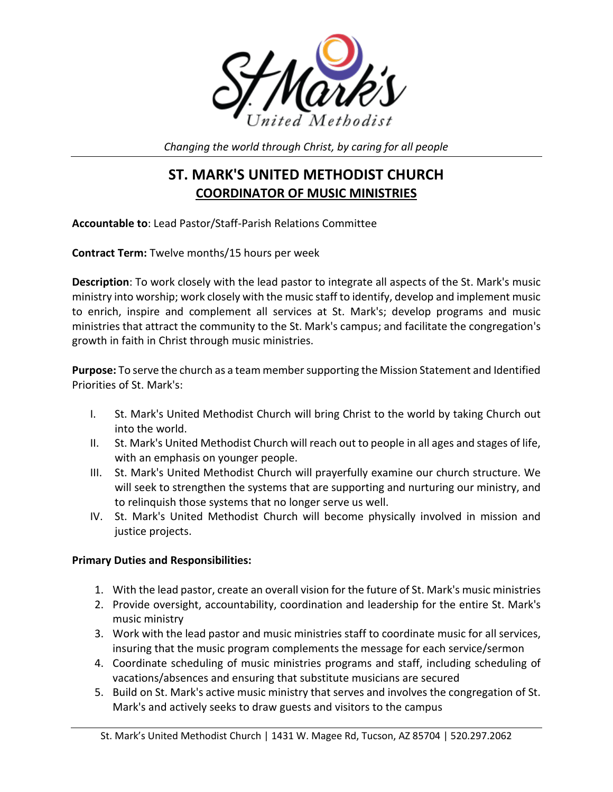

*Changing the world through Christ, by caring for all people*

# **ST. MARK'S UNITED METHODIST CHURCH COORDINATOR OF MUSIC MINISTRIES**

**Accountable to**: Lead Pastor/Staff-Parish Relations Committee

**Contract Term:** Twelve months/15 hours per week

**Description**: To work closely with the lead pastor to integrate all aspects of the St. Mark's music ministry into worship; work closely with the music staff to identify, develop and implement music to enrich, inspire and complement all services at St. Mark's; develop programs and music ministries that attract the community to the St. Mark's campus; and facilitate the congregation's growth in faith in Christ through music ministries.

**Purpose:** To serve the church as a team membersupporting the Mission Statement and Identified Priorities of St. Mark's:

- I. St. Mark's United Methodist Church will bring Christ to the world by taking Church out into the world.
- II. St. Mark's United Methodist Church will reach out to people in all ages and stages of life, with an emphasis on younger people.
- III. St. Mark's United Methodist Church will prayerfully examine our church structure. We will seek to strengthen the systems that are supporting and nurturing our ministry, and to relinquish those systems that no longer serve us well.
- IV. St. Mark's United Methodist Church will become physically involved in mission and justice projects.

### **Primary Duties and Responsibilities:**

- 1. With the lead pastor, create an overall vision for the future of St. Mark's music ministries
- 2. Provide oversight, accountability, coordination and leadership for the entire St. Mark's music ministry
- 3. Work with the lead pastor and music ministries staff to coordinate music for all services, insuring that the music program complements the message for each service/sermon
- 4. Coordinate scheduling of music ministries programs and staff, including scheduling of vacations/absences and ensuring that substitute musicians are secured
- 5. Build on St. Mark's active music ministry that serves and involves the congregation of St. Mark's and actively seeks to draw guests and visitors to the campus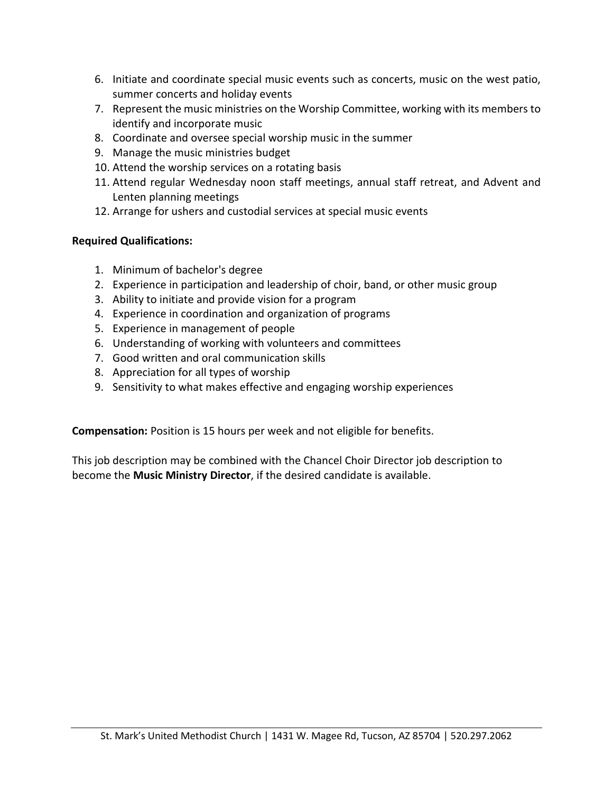- 6. Initiate and coordinate special music events such as concerts, music on the west patio, summer concerts and holiday events
- 7. Represent the music ministries on the Worship Committee, working with its members to identify and incorporate music
- 8. Coordinate and oversee special worship music in the summer
- 9. Manage the music ministries budget
- 10. Attend the worship services on a rotating basis
- 11. Attend regular Wednesday noon staff meetings, annual staff retreat, and Advent and Lenten planning meetings
- 12. Arrange for ushers and custodial services at special music events

#### **Required Qualifications:**

- 1. Minimum of bachelor's degree
- 2. Experience in participation and leadership of choir, band, or other music group
- 3. Ability to initiate and provide vision for a program
- 4. Experience in coordination and organization of programs
- 5. Experience in management of people
- 6. Understanding of working with volunteers and committees
- 7. Good written and oral communication skills
- 8. Appreciation for all types of worship
- 9. Sensitivity to what makes effective and engaging worship experiences

**Compensation:** Position is 15 hours per week and not eligible for benefits.

This job description may be combined with the Chancel Choir Director job description to become the **Music Ministry Director**, if the desired candidate is available.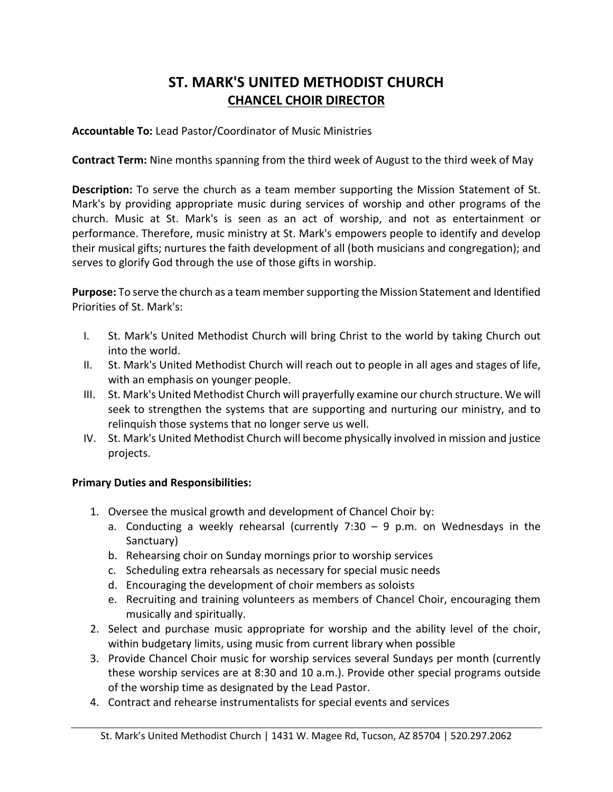## **ST. MARK'S UNITED METHODIST CHURCH CHANCEL CHOIR DIRECTOR**

#### **Accountable To:** Lead Pastor/Coordinator of Music Ministries

**Contract Term:** Nine months spanning from the third week of August to the third week of May

**Description:** To serve the church as a team member supporting the Mission Statement of St. Mark's by providing appropriate music during services of worship and other programs of the church. Music at St. Mark's is seen as an act of worship, and not as entertainment or performance. Therefore, music ministry at St. Mark's empowers people to identify and develop their musical gifts; nurtures the faith development of all (both musicians and congregation); and serves to glorify God through the use of those gifts in worship.

**Purpose:** To serve the church as a team membersupporting the Mission Statement and Identified Priorities of St. Mark's:

- I. St. Mark's United Methodist Church will bring Christ to the world by taking Church out into the world.
- II. St. Mark's United Methodist Church will reach out to people in all ages and stages of life, with an emphasis on younger people.
- III. St. Mark's United Methodist Church will prayerfully examine our church structure. We will seek to strengthen the systems that are supporting and nurturing our ministry, and to relinquish those systems that no longer serve us well.
- IV. St. Mark's United Methodist Church will become physically involved in mission and justice projects.

#### **Primary Duties and Responsibilities:**

- 1. Oversee the musical growth and development of Chancel Choir by:
	- a. Conducting a weekly rehearsal (currently 7:30  $-$  9 p.m. on Wednesdays in the Sanctuary)
	- b. Rehearsing choir on Sunday mornings prior to worship services
	- c. Scheduling extra rehearsals as necessary for special music needs
	- d. Encouraging the development of choir members as soloists
	- e. Recruiting and training volunteers as members of Chancel Choir, encouraging them musically and spiritually.
- 2. Select and purchase music appropriate for worship and the ability level of the choir, within budgetary limits, using music from current library when possible
- 3. Provide Chancel Choir music for worship services several Sundays per month (currently these worship services are at 8:30 and 10 a.m.). Provide other special programs outside of the worship time as designated by the Lead Pastor.
- 4. Contract and rehearse instrumentalists for special events and services